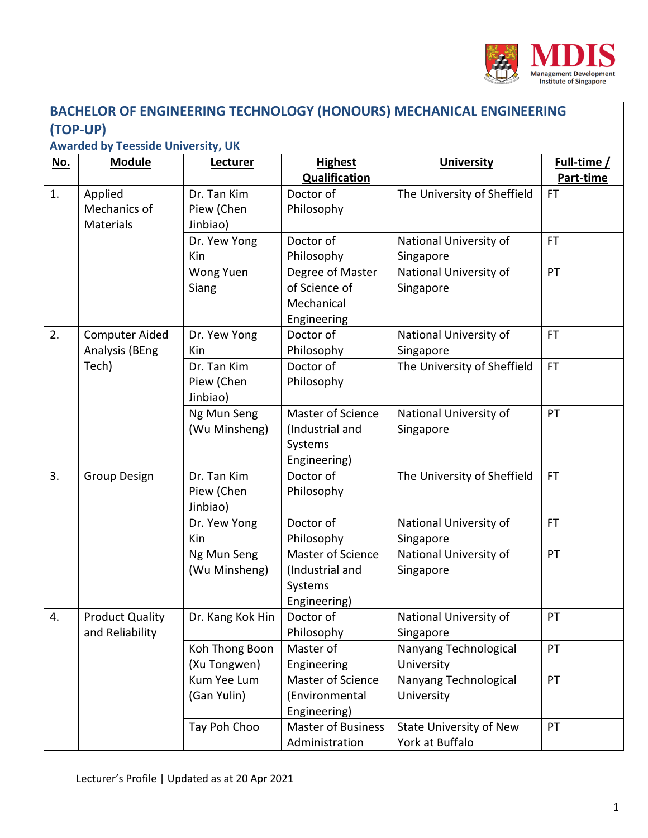

| <b>BACHELOR OF ENGINEERING TECHNOLOGY (HONOURS) MECHANICAL ENGINEERING</b> |                                                  |                                       |                                                                 |                                                   |                          |  |  |  |  |  |
|----------------------------------------------------------------------------|--------------------------------------------------|---------------------------------------|-----------------------------------------------------------------|---------------------------------------------------|--------------------------|--|--|--|--|--|
| (TOP-UP)                                                                   |                                                  |                                       |                                                                 |                                                   |                          |  |  |  |  |  |
| <b>Awarded by Teesside University, UK</b>                                  |                                                  |                                       |                                                                 |                                                   |                          |  |  |  |  |  |
| <u>No.</u>                                                                 | <b>Module</b>                                    | <b>Lecturer</b>                       | <b>Highest</b><br><b>Qualification</b>                          | <b>University</b>                                 | Full-time /<br>Part-time |  |  |  |  |  |
| 1.                                                                         | Applied<br>Mechanics of<br>Materials             | Dr. Tan Kim<br>Piew (Chen<br>Jinbiao) | Doctor of<br>Philosophy                                         | The University of Sheffield                       | <b>FT</b>                |  |  |  |  |  |
|                                                                            |                                                  | Dr. Yew Yong<br>Kin                   | Doctor of<br>Philosophy                                         | National University of<br>Singapore               | <b>FT</b>                |  |  |  |  |  |
|                                                                            |                                                  | Wong Yuen<br>Siang                    | Degree of Master<br>of Science of<br>Mechanical<br>Engineering  | National University of<br>Singapore               | PT                       |  |  |  |  |  |
| 2.                                                                         | <b>Computer Aided</b><br>Analysis (BEng<br>Tech) | Dr. Yew Yong<br>Kin                   | Doctor of<br>Philosophy                                         | National University of<br>Singapore               | <b>FT</b>                |  |  |  |  |  |
|                                                                            |                                                  | Dr. Tan Kim<br>Piew (Chen<br>Jinbiao) | Doctor of<br>Philosophy                                         | The University of Sheffield                       | <b>FT</b>                |  |  |  |  |  |
|                                                                            |                                                  | Ng Mun Seng<br>(Wu Minsheng)          | Master of Science<br>(Industrial and<br>Systems<br>Engineering) | National University of<br>Singapore               | PT                       |  |  |  |  |  |
| 3.                                                                         | Group Design                                     | Dr. Tan Kim<br>Piew (Chen<br>Jinbiao) | Doctor of<br>Philosophy                                         | The University of Sheffield                       | <b>FT</b>                |  |  |  |  |  |
|                                                                            |                                                  | Dr. Yew Yong<br>Kin                   | Doctor of<br>Philosophy                                         | National University of<br>Singapore               | <b>FT</b>                |  |  |  |  |  |
|                                                                            |                                                  | Ng Mun Seng<br>(Wu Minsheng)          | Master of Science<br>(Industrial and<br>Systems<br>Engineering) | National University of<br>Singapore               | PT                       |  |  |  |  |  |
| 4.                                                                         | <b>Product Quality</b><br>and Reliability        | Dr. Kang Kok Hin                      | Doctor of<br>Philosophy                                         | National University of<br>Singapore               | PT                       |  |  |  |  |  |
|                                                                            |                                                  | Koh Thong Boon<br>(Xu Tongwen)        | Master of<br>Engineering                                        | Nanyang Technological<br>University               | PT                       |  |  |  |  |  |
|                                                                            |                                                  | Kum Yee Lum<br>(Gan Yulin)            | Master of Science<br>(Environmental<br>Engineering)             | Nanyang Technological<br>University               | PT                       |  |  |  |  |  |
|                                                                            |                                                  | Tay Poh Choo                          | <b>Master of Business</b><br>Administration                     | <b>State University of New</b><br>York at Buffalo | PT                       |  |  |  |  |  |